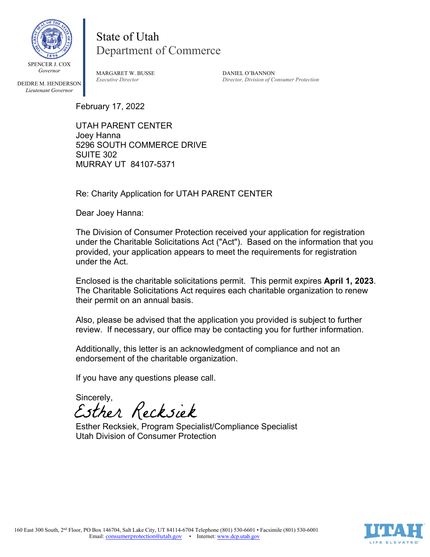

State of Utah Department of Commerce

DEIDRE M. HENDERSON *Lieutenant Governor*

MARGARET W. BUSSE DANIEL O'BANNON

*Executive Director Director, Division of Consumer Protection* 

February 17, 2022

UTAH PARENT CENTER Joey Hanna 5296 SOUTH COMMERCE DRIVE SUITE 302 MURRAY UT 84107-5371

Re: Charity Application for UTAH PARENT CENTER

Dear Joey Hanna:

The Division of Consumer Protection received your application for registration under the Charitable Solicitations Act ("Act"). Based on the information that you provided, your application appears to meet the requirements for registration under the Act.

Enclosed is the charitable solicitations permit. This permit expires **April 1, 2023**. The Charitable Solicitations Act requires each charitable organization to renew their permit on an annual basis.

Also, please be advised that the application you provided is subject to further review. If necessary, our office may be contacting you for further information.

Additionally, this letter is an acknowledgment of compliance and not an endorsement of the charitable organization.

If you have any questions please call.

Sincerely,<br>Esther Recksiek

Esther Recksiek, Program Specialist/Compliance Specialist Utah Division of Consumer Protection